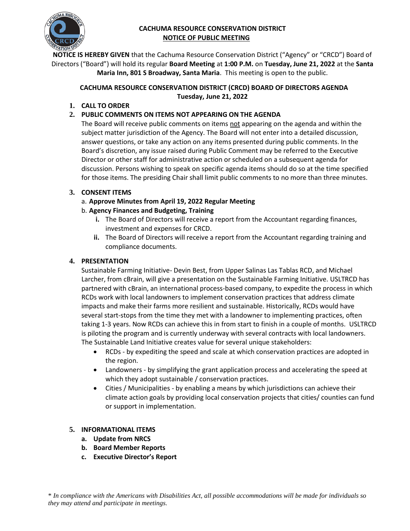

# **CACHUMA RESOURCE CONSERVATION DISTRICT NOTICE OF PUBLIC MEETING**

**NOTICE IS HEREBY GIVEN** that the Cachuma Resource Conservation District ("Agency" or "CRCD") Board of Directors ("Board") will hold its regular **Board Meeting** at **1:00 P.M.** on **Tuesday, June 21, 2022** at the **Santa Maria Inn, 801 S Broadway, Santa Maria**. This meeting is open to the public.

## **CACHUMA RESOURCE CONSERVATION DISTRICT (CRCD) BOARD OF DIRECTORS AGENDA Tuesday, June 21, 2022**

**1. CALL TO ORDER** 

# **2. PUBLIC COMMENTS ON ITEMS NOT APPEARING ON THE AGENDA**

The Board will receive public comments on items not appearing on the agenda and within the subject matter jurisdiction of the Agency. The Board will not enter into a detailed discussion, answer questions, or take any action on any items presented during public comments. In the Board's discretion, any issue raised during Public Comment may be referred to the Executive Director or other staff for administrative action or scheduled on a subsequent agenda for discussion. Persons wishing to speak on specific agenda items should do so at the time specified for those items. The presiding Chair shall limit public comments to no more than three minutes.

# **3. CONSENT ITEMS**

- a. **Approve Minutes from April 19, 2022 Regular Meeting**
- b. **Agency Finances and Budgeting, Training** 
	- **i.** The Board of Directors will receive a report from the Accountant regarding finances, investment and expenses for CRCD.
	- **ii.** The Board of Directors will receive a report from the Accountant regarding training and compliance documents.

# **4. PRESENTATION**

Sustainable Farming Initiative- Devin Best, from Upper Salinas Las Tablas RCD, and Michael Larcher, from cBrain, will give a presentation on the Sustainable Farming Initiative. USLTRCD has partnered with cBrain, an international process-based company, to expedite the process in which RCDs work with local landowners to implement conservation practices that address climate impacts and make their farms more resilient and sustainable. Historically, RCDs would have several start-stops from the time they met with a landowner to implementing practices, often taking 1-3 years. Now RCDs can achieve this in from start to finish in a couple of months. USLTRCD is piloting the program and is currently underway with several contracts with local landowners. The Sustainable Land Initiative creates value for several unique stakeholders:

- RCDs by expediting the speed and scale at which conservation practices are adopted in the region.
- Landowners by simplifying the grant application process and accelerating the speed at which they adopt sustainable / conservation practices.
- Cities / Municipalities by enabling a means by which jurisdictions can achieve their climate action goals by providing local conservation projects that cities/ counties can fund or support in implementation.

# **5. INFORMATIONAL ITEMS**

- **a. Update from NRCS**
- **b. Board Member Reports**
- **c. Executive Director's Report**